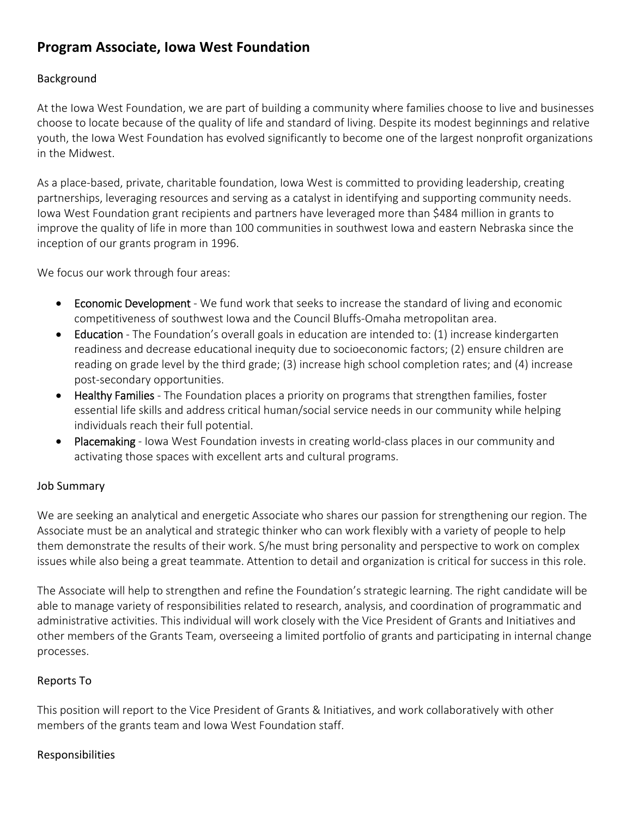# **Program Associate, Iowa West Foundation**

### Background

At the Iowa West Foundation, we are part of building a community where families choose to live and businesses choose to locate because of the quality of life and standard of living. Despite its modest beginnings and relative youth, the Iowa West Foundation has evolved significantly to become one of the largest nonprofit organizations in the Midwest.

As a place‐based, private, charitable foundation, Iowa West is committed to providing leadership, creating partnerships, leveraging resources and serving as a catalyst in identifying and supporting community needs. Iowa West Foundation grant recipients and partners have leveraged more than \$484 million in grants to improve the quality of life in more than 100 communities in southwest Iowa and eastern Nebraska since the inception of our grants program in 1996.

We focus our work through four areas:

- Economic Development We fund work that seeks to increase the standard of living and economic competitiveness of southwest Iowa and the Council Bluffs‐Omaha metropolitan area.
- Education The Foundation's overall goals in education are intended to: (1) increase kindergarten readiness and decrease educational inequity due to socioeconomic factors; (2) ensure children are reading on grade level by the third grade; (3) increase high school completion rates; and (4) increase post‐secondary opportunities.
- Healthy Families The Foundation places a priority on programs that strengthen families, foster essential life skills and address critical human/social service needs in our community while helping individuals reach their full potential.
- Placemaking Iowa West Foundation invests in creating world-class places in our community and activating those spaces with excellent arts and cultural programs.

## Job Summary

We are seeking an analytical and energetic Associate who shares our passion for strengthening our region. The Associate must be an analytical and strategic thinker who can work flexibly with a variety of people to help them demonstrate the results of their work. S/he must bring personality and perspective to work on complex issues while also being a great teammate. Attention to detail and organization is critical for success in this role.

The Associate will help to strengthen and refine the Foundation's strategic learning. The right candidate will be able to manage variety of responsibilities related to research, analysis, and coordination of programmatic and administrative activities. This individual will work closely with the Vice President of Grants and Initiatives and other members of the Grants Team, overseeing a limited portfolio of grants and participating in internal change processes.

#### Reports To

This position will report to the Vice President of Grants & Initiatives, and work collaboratively with other members of the grants team and Iowa West Foundation staff.

#### Responsibilities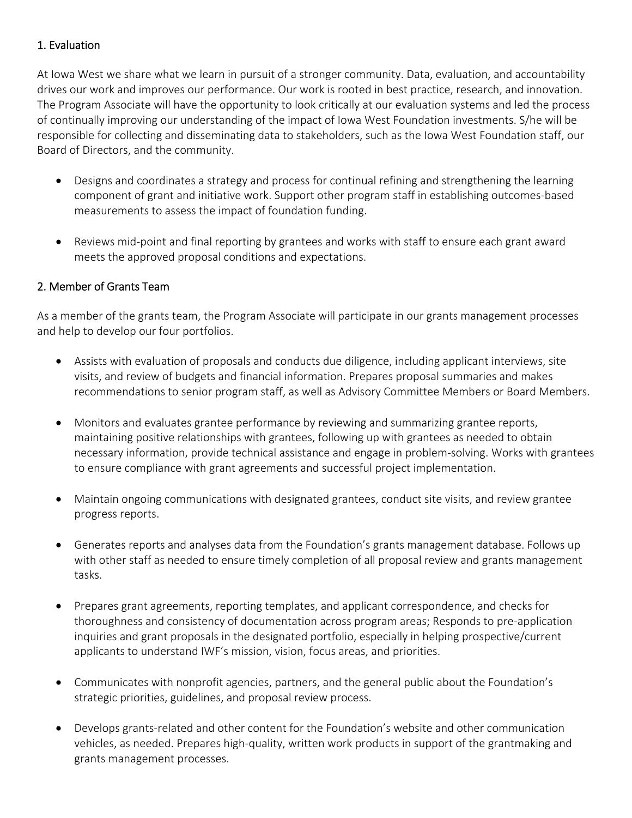## 1. Evaluation

At Iowa West we share what we learn in pursuit of a stronger community. Data, evaluation, and accountability drives our work and improves our performance. Our work is rooted in best practice, research, and innovation. The Program Associate will have the opportunity to look critically at our evaluation systems and led the process of continually improving our understanding of the impact of Iowa West Foundation investments. S/he will be responsible for collecting and disseminating data to stakeholders, such as the Iowa West Foundation staff, our Board of Directors, and the community.

- Designs and coordinates a strategy and process for continual refining and strengthening the learning component of grant and initiative work. Support other program staff in establishing outcomes‐based measurements to assess the impact of foundation funding.
- Reviews mid-point and final reporting by grantees and works with staff to ensure each grant award meets the approved proposal conditions and expectations.

#### 2. Member of Grants Team

As a member of the grants team, the Program Associate will participate in our grants management processes and help to develop our four portfolios.

- Assists with evaluation of proposals and conducts due diligence, including applicant interviews, site visits, and review of budgets and financial information. Prepares proposal summaries and makes recommendations to senior program staff, as well as Advisory Committee Members or Board Members.
- Monitors and evaluates grantee performance by reviewing and summarizing grantee reports, maintaining positive relationships with grantees, following up with grantees as needed to obtain necessary information, provide technical assistance and engage in problem‐solving. Works with grantees to ensure compliance with grant agreements and successful project implementation.
- Maintain ongoing communications with designated grantees, conduct site visits, and review grantee progress reports.
- Generates reports and analyses data from the Foundation's grants management database. Follows up with other staff as needed to ensure timely completion of all proposal review and grants management tasks.
- Prepares grant agreements, reporting templates, and applicant correspondence, and checks for thoroughness and consistency of documentation across program areas; Responds to pre‐application inquiries and grant proposals in the designated portfolio, especially in helping prospective/current applicants to understand IWF's mission, vision, focus areas, and priorities.
- Communicates with nonprofit agencies, partners, and the general public about the Foundation's strategic priorities, guidelines, and proposal review process.
- Develops grants-related and other content for the Foundation's website and other communication vehicles, as needed. Prepares high-quality, written work products in support of the grantmaking and grants management processes.